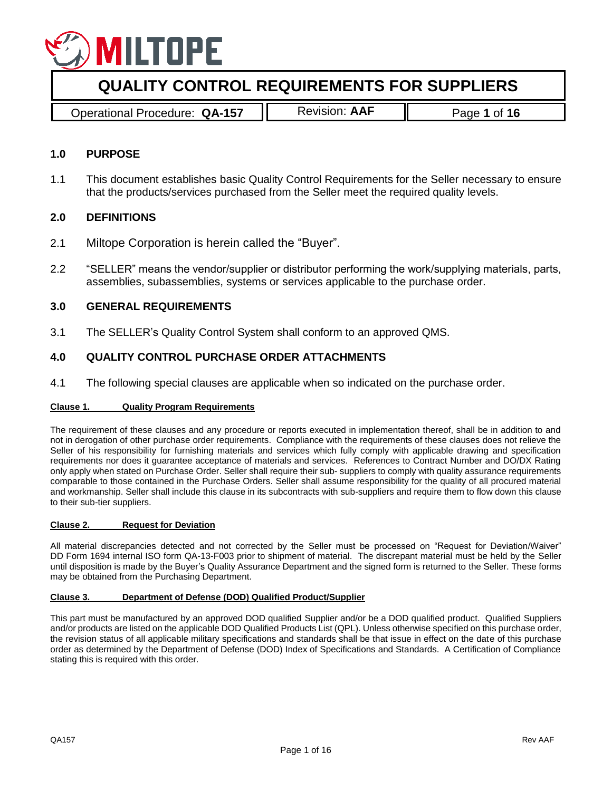

Operational Procedure: **QA-157** Revision: **AAF** Page **1** of **16**

## **1.0 PURPOSE**

1.1 This document establishes basic Quality Control Requirements for the Seller necessary to ensure that the products/services purchased from the Seller meet the required quality levels.

## **2.0 DEFINITIONS**

- 2.1 Miltope Corporation is herein called the "Buyer".
- 2.2 "SELLER" means the vendor/supplier or distributor performing the work/supplying materials, parts, assemblies, subassemblies, systems or services applicable to the purchase order.

## **3.0 GENERAL REQUIREMENTS**

3.1 The SELLER's Quality Control System shall conform to an approved QMS.

# **4.0 QUALITY CONTROL PURCHASE ORDER ATTACHMENTS**

4.1 The following special clauses are applicable when so indicated on the purchase order.

### **Clause 1. Quality Program Requirements**

The requirement of these clauses and any procedure or reports executed in implementation thereof, shall be in addition to and not in derogation of other purchase order requirements. Compliance with the requirements of these clauses does not relieve the Seller of his responsibility for furnishing materials and services which fully comply with applicable drawing and specification requirements nor does it guarantee acceptance of materials and services. References to Contract Number and DO/DX Rating only apply when stated on Purchase Order. Seller shall require their sub- suppliers to comply with quality assurance requirements comparable to those contained in the Purchase Orders. Seller shall assume responsibility for the quality of all procured material and workmanship. Seller shall include this clause in its subcontracts with sub-suppliers and require them to flow down this clause to their sub-tier suppliers.

### **Clause 2. Request for Deviation**

All material discrepancies detected and not corrected by the Seller must be processed on "Request for Deviation/Waiver" DD Form 1694 internal ISO form QA-13-F003 prior to shipment of material. The discrepant material must be held by the Seller until disposition is made by the Buyer's Quality Assurance Department and the signed form is returned to the Seller. These forms may be obtained from the Purchasing Department.

#### **Clause 3. Department of Defense (DOD) Qualified Product/Supplier**

This part must be manufactured by an approved DOD qualified Supplier and/or be a DOD qualified product. Qualified Suppliers and/or products are listed on the applicable DOD Qualified Products List (QPL). Unless otherwise specified on this purchase order, the revision status of all applicable military specifications and standards shall be that issue in effect on the date of this purchase order as determined by the Department of Defense (DOD) Index of Specifications and Standards. A Certification of Compliance stating this is required with this order.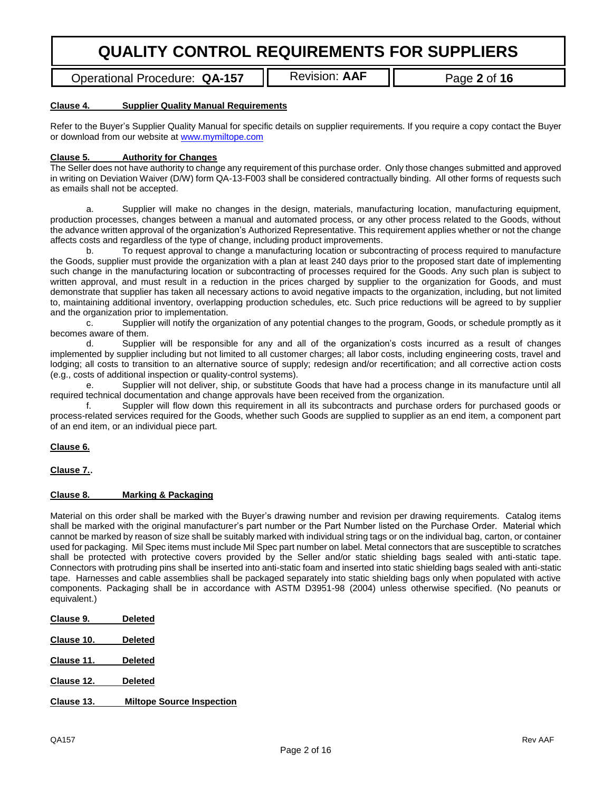Operational Procedure: QA-157 | Revision: AAF | Page 2 of 16

#### **Clause 4. Supplier Quality Manual Requirements**

Refer to the Buyer's Supplier Quality Manual for specific details on supplier requirements. If you require a copy contact the Buyer or download from our website at [www.mymiltope.com](http://www.mymiltope.com/)

### **Clause 5. Authority for Changes**

The Seller does not have authority to change any requirement of this purchase order. Only those changes submitted and approved in writing on Deviation Waiver (D/W) form QA-13-F003 shall be considered contractually binding. All other forms of requests such as emails shall not be accepted.

a. Supplier will make no changes in the design, materials, manufacturing location, manufacturing equipment, production processes, changes between a manual and automated process, or any other process related to the Goods, without the advance written approval of the organization's Authorized Representative. This requirement applies whether or not the change affects costs and regardless of the type of change, including product improvements.

b. To request approval to change a manufacturing location or subcontracting of process required to manufacture the Goods, supplier must provide the organization with a plan at least 240 days prior to the proposed start date of implementing such change in the manufacturing location or subcontracting of processes required for the Goods. Any such plan is subject to written approval, and must result in a reduction in the prices charged by supplier to the organization for Goods, and must demonstrate that supplier has taken all necessary actions to avoid negative impacts to the organization, including, but not limited to, maintaining additional inventory, overlapping production schedules, etc. Such price reductions will be agreed to by supplier and the organization prior to implementation.

c. Supplier will notify the organization of any potential changes to the program, Goods, or schedule promptly as it becomes aware of them.

d. Supplier will be responsible for any and all of the organization's costs incurred as a result of changes implemented by supplier including but not limited to all customer charges; all labor costs, including engineering costs, travel and lodging; all costs to transition to an alternative source of supply; redesign and/or recertification; and all corrective action costs (e.g., costs of additional inspection or quality-control systems).

e. Supplier will not deliver, ship, or substitute Goods that have had a process change in its manufacture until all required technical documentation and change approvals have been received from the organization.

f. Suppler will flow down this requirement in all its subcontracts and purchase orders for purchased goods or process-related services required for the Goods, whether such Goods are supplied to supplier as an end item, a component part of an end item, or an individual piece part.

#### **Clause 6.**

**Clause 7.**.

#### **Clause 8. Marking & Packaging**

Material on this order shall be marked with the Buyer's drawing number and revision per drawing requirements. Catalog items shall be marked with the original manufacturer's part number or the Part Number listed on the Purchase Order. Material which cannot be marked by reason of size shall be suitably marked with individual string tags or on the individual bag, carton, or container used for packaging. Mil Spec items must include Mil Spec part number on label. Metal connectors that are susceptible to scratches shall be protected with protective covers provided by the Seller and/or static shielding bags sealed with anti-static tape. Connectors with protruding pins shall be inserted into anti-static foam and inserted into static shielding bags sealed with anti-static tape. Harnesses and cable assemblies shall be packaged separately into static shielding bags only when populated with active components. Packaging shall be in accordance with ASTM D3951-98 (2004) unless otherwise specified. (No peanuts or equivalent.)

| Clause 9.  | <b>Deleted</b>                   |
|------------|----------------------------------|
| Clause 10. | <b>Deleted</b>                   |
| Clause 11. | <b>Deleted</b>                   |
| Clause 12. | <b>Deleted</b>                   |
| Clause 13. | <b>Miltope Source Inspection</b> |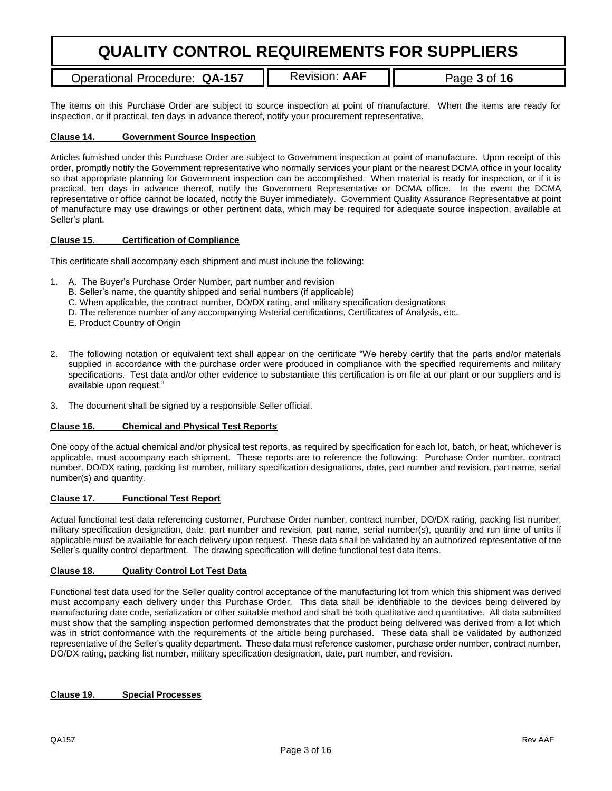Operational Procedure: QA-157 | Revision: AAF | Page 3 of 16

The items on this Purchase Order are subject to source inspection at point of manufacture. When the items are ready for inspection, or if practical, ten days in advance thereof, notify your procurement representative.

### **Clause 14. Government Source Inspection**

Articles furnished under this Purchase Order are subject to Government inspection at point of manufacture. Upon receipt of this order, promptly notify the Government representative who normally services your plant or the nearest DCMA office in your locality so that appropriate planning for Government inspection can be accomplished. When material is ready for inspection, or if it is practical, ten days in advance thereof, notify the Government Representative or DCMA office. In the event the DCMA representative or office cannot be located, notify the Buyer immediately. Government Quality Assurance Representative at point of manufacture may use drawings or other pertinent data, which may be required for adequate source inspection, available at Seller's plant.

#### **Clause 15. Certification of Compliance**

This certificate shall accompany each shipment and must include the following:

- 1. A. The Buyer's Purchase Order Number, part number and revision
	- B. Seller's name, the quantity shipped and serial numbers (if applicable)
	- C. When applicable, the contract number, DO/DX rating, and military specification designations
	- D. The reference number of any accompanying Material certifications, Certificates of Analysis, etc.
	- E. Product Country of Origin
- 2. The following notation or equivalent text shall appear on the certificate "We hereby certify that the parts and/or materials supplied in accordance with the purchase order were produced in compliance with the specified requirements and military specifications. Test data and/or other evidence to substantiate this certification is on file at our plant or our suppliers and is available upon request."
- 3. The document shall be signed by a responsible Seller official.

#### **Clause 16. Chemical and Physical Test Reports**

One copy of the actual chemical and/or physical test reports, as required by specification for each lot, batch, or heat, whichever is applicable, must accompany each shipment. These reports are to reference the following: Purchase Order number, contract number, DO/DX rating, packing list number, military specification designations, date, part number and revision, part name, serial number(s) and quantity.

#### **Clause 17. Functional Test Report**

Actual functional test data referencing customer, Purchase Order number, contract number, DO/DX rating, packing list number, military specification designation, date, part number and revision, part name, serial number(s), quantity and run time of units if applicable must be available for each delivery upon request. These data shall be validated by an authorized representative of the Seller's quality control department. The drawing specification will define functional test data items.

#### **Clause 18. Quality Control Lot Test Data**

Functional test data used for the Seller quality control acceptance of the manufacturing lot from which this shipment was derived must accompany each delivery under this Purchase Order. This data shall be identifiable to the devices being delivered by manufacturing date code, serialization or other suitable method and shall be both qualitative and quantitative. All data submitted must show that the sampling inspection performed demonstrates that the product being delivered was derived from a lot which was in strict conformance with the requirements of the article being purchased. These data shall be validated by authorized representative of the Seller's quality department. These data must reference customer, purchase order number, contract number, DO/DX rating, packing list number, military specification designation, date, part number, and revision.

#### **Clause 19. Special Processes**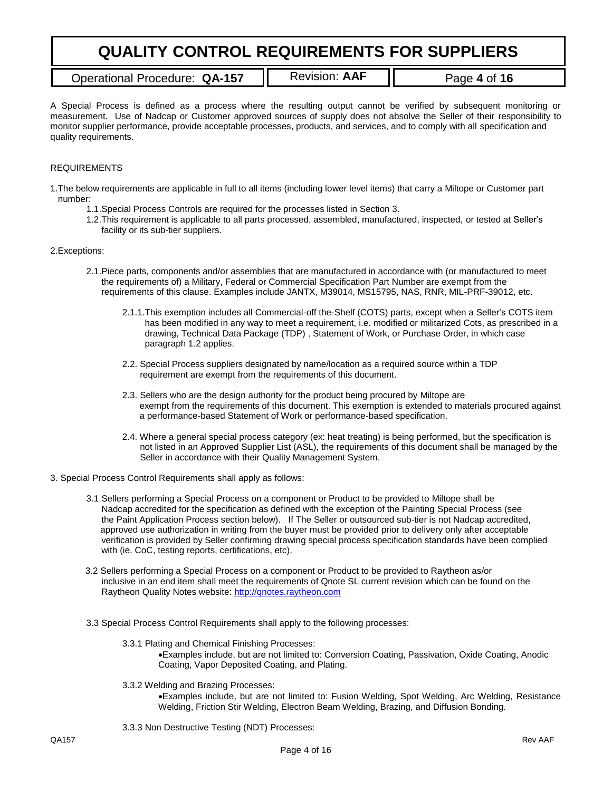Operational Procedure: QA-157 | Revision: AAF | Page 4 of 16

A Special Process is defined as a process where the resulting output cannot be verified by subsequent monitoring or measurement. Use of Nadcap or Customer approved sources of supply does not absolve the Seller of their responsibility to monitor supplier performance, provide acceptable processes, products, and services, and to comply with all specification and quality requirements.

### REQUIREMENTS

1.The below requirements are applicable in full to all items (including lower level items) that carry a Miltope or Customer part number:

- 1.1.Special Process Controls are required for the processes listed in Section 3.
- 1.2.This requirement is applicable to all parts processed, assembled, manufactured, inspected, or tested at Seller's facility or its sub-tier suppliers.

#### 2.Exceptions:

- 2.1.Piece parts, components and/or assemblies that are manufactured in accordance with (or manufactured to meet the requirements of) a Military, Federal or Commercial Specification Part Number are exempt from the requirements of this clause. Examples include JANTX, M39014, MS15795, NAS, RNR, MIL-PRF-39012, etc.
	- 2.1.1.This exemption includes all Commercial-off the-Shelf (COTS) parts, except when a Seller's COTS item has been modified in any way to meet a requirement, i.e. modified or militarized Cots, as prescribed in a drawing, Technical Data Package (TDP) , Statement of Work, or Purchase Order, in which case paragraph 1.2 applies.
	- 2.2. Special Process suppliers designated by name/location as a required source within a TDP requirement are exempt from the requirements of this document.
	- 2.3. Sellers who are the design authority for the product being procured by Miltope are exempt from the requirements of this document. This exemption is extended to materials procured against a performance-based Statement of Work or performance-based specification.
	- 2.4. Where a general special process category (ex: heat treating) is being performed, but the specification is not listed in an Approved Supplier List (ASL), the requirements of this document shall be managed by the Seller in accordance with their Quality Management System.
- 3. Special Process Control Requirements shall apply as follows:
	- 3.1 Sellers performing a Special Process on a component or Product to be provided to Miltope shall be Nadcap accredited for the specification as defined with the exception of the Painting Special Process (see the Paint Application Process section below). If The Seller or outsourced sub-tier is not Nadcap accredited, approved use authorization in writing from the buyer must be provided prior to delivery only after acceptable verification is provided by Seller confirming drawing special process specification standards have been complied with (ie. CoC, testing reports, certifications, etc).
	- 3.2 Sellers performing a Special Process on a component or Product to be provided to Raytheon as/or inclusive in an end item shall meet the requirements of Qnote SL current revision which can be found on the Raytheon Quality Notes website: [http://qnotes.raytheon.com](http://qnotes.raytheon.com/)
	- 3.3 Special Process Control Requirements shall apply to the following processes:
		- 3.3.1 Plating and Chemical Finishing Processes: Examples include, but are not limited to: Conversion Coating, Passivation, Oxide Coating, Anodic Coating, Vapor Deposited Coating, and Plating.
		- 3.3.2 Welding and Brazing Processes:

Examples include, but are not limited to: Fusion Welding, Spot Welding, Arc Welding, Resistance Welding, Friction Stir Welding, Electron Beam Welding, Brazing, and Diffusion Bonding.

3.3.3 Non Destructive Testing (NDT) Processes: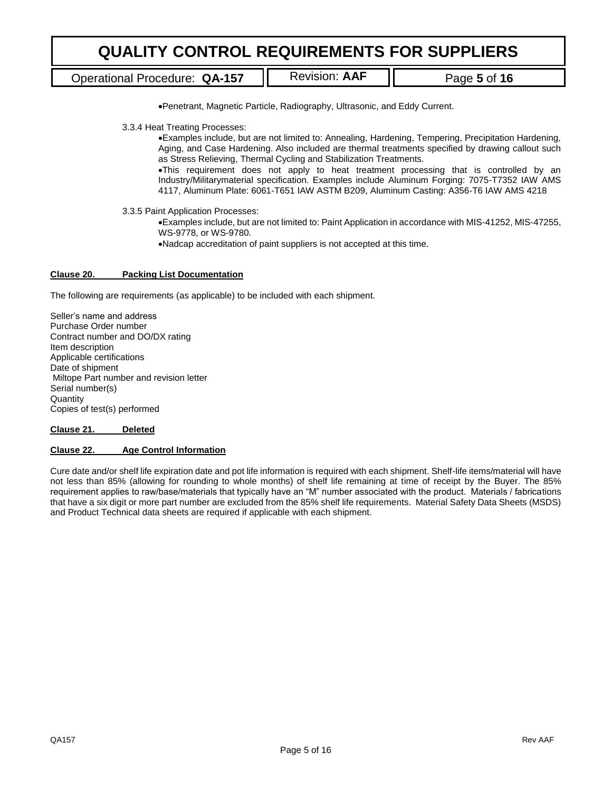Operational Procedure: QA-157 | Revision: AAF | Page 5 of 16

Penetrant, Magnetic Particle, Radiography, Ultrasonic, and Eddy Current.

3.3.4 Heat Treating Processes:

Examples include, but are not limited to: Annealing, Hardening, Tempering, Precipitation Hardening, Aging, and Case Hardening. Also included are thermal treatments specified by drawing callout such as Stress Relieving, Thermal Cycling and Stabilization Treatments.

This requirement does not apply to heat treatment processing that is controlled by an Industry/Militarymaterial specification. Examples include Aluminum Forging: 7075-T7352 IAW AMS 4117, Aluminum Plate: 6061-T651 IAW ASTM B209, Aluminum Casting: A356-T6 IAW AMS 4218

3.3.5 Paint Application Processes:

Examples include, but are not limited to: Paint Application in accordance with MIS-41252, MIS-47255, WS-9778, or WS-9780.

Nadcap accreditation of paint suppliers is not accepted at this time.

#### **Clause 20. Packing List Documentation**

The following are requirements (as applicable) to be included with each shipment.

Seller's name and address Purchase Order number Contract number and DO/DX rating Item description Applicable certifications Date of shipment Miltope Part number and revision letter Serial number(s) **Quantity** Copies of test(s) performed

**Clause 21. Deleted**

#### **Clause 22. Age Control Information**

Cure date and/or shelf life expiration date and pot life information is required with each shipment. Shelf-life items/material will have not less than 85% (allowing for rounding to whole months) of shelf life remaining at time of receipt by the Buyer. The 85% requirement applies to raw/base/materials that typically have an "M" number associated with the product. Materials / fabrications that have a six digit or more part number are excluded from the 85% shelf life requirements. Material Safety Data Sheets (MSDS) and Product Technical data sheets are required if applicable with each shipment.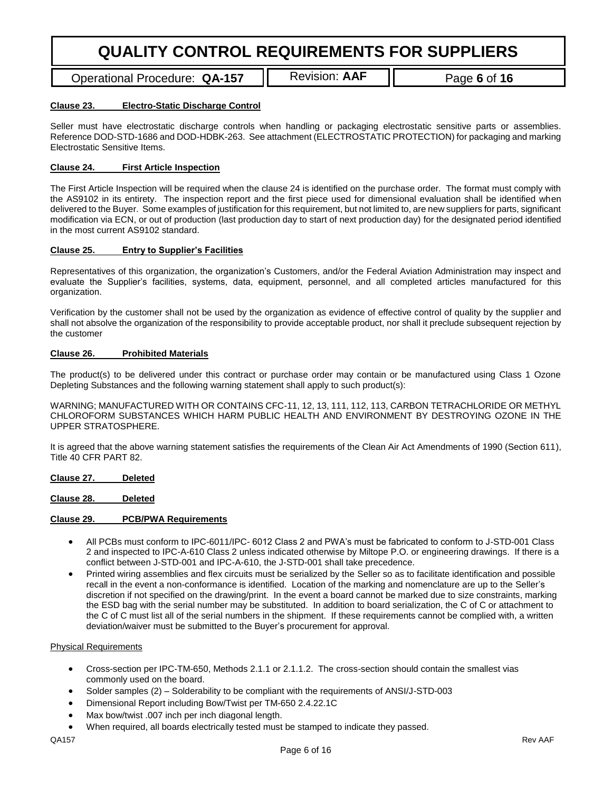Operational Procedure: QA-157 | Revision: AAF | Page 6 of 16

### **Clause 23. Electro-Static Discharge Control**

Seller must have electrostatic discharge controls when handling or packaging electrostatic sensitive parts or assemblies. Reference DOD-STD-1686 and DOD-HDBK-263. See attachment (ELECTROSTATIC PROTECTION) for packaging and marking Electrostatic Sensitive Items.

### **Clause 24. First Article Inspection**

The First Article Inspection will be required when the clause 24 is identified on the purchase order. The format must comply with the AS9102 in its entirety. The inspection report and the first piece used for dimensional evaluation shall be identified when delivered to the Buyer. Some examples of justification for this requirement, but not limited to, are new suppliers for parts, significant modification via ECN, or out of production (last production day to start of next production day) for the designated period identified in the most current AS9102 standard.

#### **Clause 25. Entry to Supplier's Facilities**

Representatives of this organization, the organization's Customers, and/or the Federal Aviation Administration may inspect and evaluate the Supplier's facilities, systems, data, equipment, personnel, and all completed articles manufactured for this organization.

Verification by the customer shall not be used by the organization as evidence of effective control of quality by the supplier and shall not absolve the organization of the responsibility to provide acceptable product, nor shall it preclude subsequent rejection by the customer

#### **Clause 26. Prohibited Materials**

The product(s) to be delivered under this contract or purchase order may contain or be manufactured using Class 1 Ozone Depleting Substances and the following warning statement shall apply to such product(s):

WARNING; MANUFACTURED WITH OR CONTAINS CFC-11, 12, 13, 111, 112, 113, CARBON TETRACHLORIDE OR METHYL CHLOROFORM SUBSTANCES WHICH HARM PUBLIC HEALTH AND ENVIRONMENT BY DESTROYING OZONE IN THE UPPER STRATOSPHERE.

It is agreed that the above warning statement satisfies the requirements of the Clean Air Act Amendments of 1990 (Section 611), Title 40 CFR PART 82.

**Clause 27. Deleted**

#### **Clause 28. Deleted**

### **Clause 29. PCB/PWA Requirements**

- All PCBs must conform to IPC-6011/IPC- 6012 Class 2 and PWA's must be fabricated to conform to J-STD-001 Class 2 and inspected to IPC-A-610 Class 2 unless indicated otherwise by Miltope P.O. or engineering drawings. If there is a conflict between J-STD-001 and IPC-A-610, the J-STD-001 shall take precedence.
- Printed wiring assemblies and flex circuits must be serialized by the Seller so as to facilitate identification and possible recall in the event a non-conformance is identified. Location of the marking and nomenclature are up to the Seller's discretion if not specified on the drawing/print. In the event a board cannot be marked due to size constraints, marking the ESD bag with the serial number may be substituted. In addition to board serialization, the C of C or attachment to the C of C must list all of the serial numbers in the shipment. If these requirements cannot be complied with, a written deviation/waiver must be submitted to the Buyer's procurement for approval.

#### Physical Requirements

- Cross-section per IPC-TM-650, Methods 2.1.1 or 2.1.1.2. The cross-section should contain the smallest vias commonly used on the board.
- Solder samples (2) Solderability to be compliant with the requirements of ANSI/J-STD-003
- Dimensional Report including Bow/Twist per TM-650 2.4.22.1C
- Max bow/twist .007 inch per inch diagonal length.
- When required, all boards electrically tested must be stamped to indicate they passed.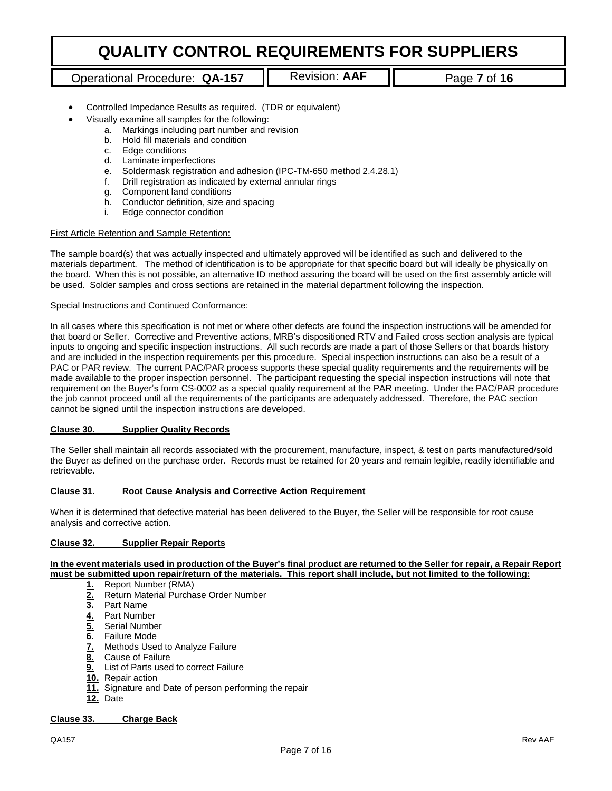# Operational Procedure: QA-157 | Revision: AAF | Page 7 of 16

- Controlled Impedance Results as required. (TDR or equivalent)
- Visually examine all samples for the following:
	- a. Markings including part number and revision
	- b. Hold fill materials and condition
	- c. Edge conditions
	- d. Laminate imperfections
	- e. Soldermask registration and adhesion (IPC-TM-650 method 2.4.28.1)
	- f. Drill registration as indicated by external annular rings
	- g. Component land conditions
	- h. Conductor definition, size and spacing
	- i. Edge connector condition

#### First Article Retention and Sample Retention:

The sample board(s) that was actually inspected and ultimately approved will be identified as such and delivered to the materials department. The method of identification is to be appropriate for that specific board but will ideally be physically on the board. When this is not possible, an alternative ID method assuring the board will be used on the first assembly article will be used. Solder samples and cross sections are retained in the material department following the inspection.

#### Special Instructions and Continued Conformance:

In all cases where this specification is not met or where other defects are found the inspection instructions will be amended for that board or Seller. Corrective and Preventive actions, MRB's dispositioned RTV and Failed cross section analysis are typical inputs to ongoing and specific inspection instructions. All such records are made a part of those Sellers or that boards history and are included in the inspection requirements per this procedure. Special inspection instructions can also be a result of a PAC or PAR review. The current PAC/PAR process supports these special quality requirements and the requirements will be made available to the proper inspection personnel. The participant requesting the special inspection instructions will note that requirement on the Buyer's form CS-0002 as a special quality requirement at the PAR meeting. Under the PAC/PAR procedure the job cannot proceed until all the requirements of the participants are adequately addressed. Therefore, the PAC section cannot be signed until the inspection instructions are developed.

#### **Clause 30. Supplier Quality Records**

The Seller shall maintain all records associated with the procurement, manufacture, inspect, & test on parts manufactured/sold the Buyer as defined on the purchase order. Records must be retained for 20 years and remain legible, readily identifiable and retrievable.

#### **Clause 31. Root Cause Analysis and Corrective Action Requirement**

When it is determined that defective material has been delivered to the Buyer, the Seller will be responsible for root cause analysis and corrective action.

#### **Clause 32. Supplier Repair Reports**

#### **In the event materials used in production of the Buyer's final product are returned to the Seller for repair, a Repair Report must be submitted upon repair/return of the materials. This report shall include, but not limited to the following:**

- 
- 1. Report Number (RMA)<br>**2.** Return Material Purcha **2.** Return Material Purchase Order Number
- 
- **3.** Part Name
- **4.** Part Number
- **6.** Failure Mode
- **<u>6.</u>** Serial Number<br> **6.** Failure Mode<br> **7.** Methods Used<br> **8.** Cause of Failure **7.** Methods Used to Analyze Failure
- **8.** Cause of Failure
- **9.** List of Parts used to correct Failure
- **10.** Repair action
- **11.** Signature and Date of person performing the repair
- **12.** Date

### **Clause 33. Charge Back**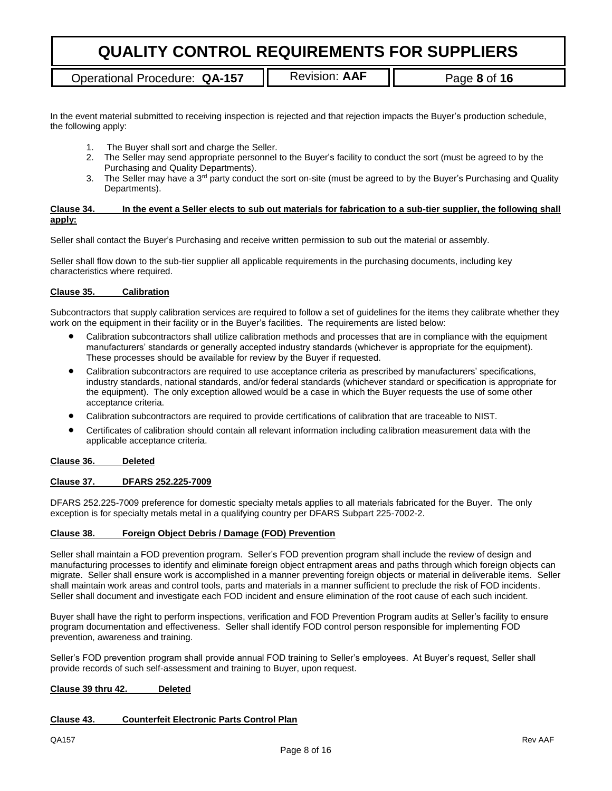Operational Procedure: QA-157 | Revision: AAF | Page 8 of 16

In the event material submitted to receiving inspection is rejected and that rejection impacts the Buyer's production schedule, the following apply:

- 1. The Buyer shall sort and charge the Seller.
- 2. The Seller may send appropriate personnel to the Buyer's facility to conduct the sort (must be agreed to by the Purchasing and Quality Departments).
- 3. The Seller may have a 3<sup>rd</sup> party conduct the sort on-site (must be agreed to by the Buyer's Purchasing and Quality Departments).

### **Clause 34. In the event a Seller elects to sub out materials for fabrication to a sub-tier supplier, the following shall apply:**

Seller shall contact the Buyer's Purchasing and receive written permission to sub out the material or assembly.

Seller shall flow down to the sub-tier supplier all applicable requirements in the purchasing documents, including key characteristics where required.

### **Clause 35. Calibration**

Subcontractors that supply calibration services are required to follow a set of guidelines for the items they calibrate whether they work on the equipment in their facility or in the Buyer's facilities. The requirements are listed below:

- Calibration subcontractors shall utilize calibration methods and processes that are in compliance with the equipment manufacturers' standards or generally accepted industry standards (whichever is appropriate for the equipment). These processes should be available for review by the Buyer if requested.
- Calibration subcontractors are required to use acceptance criteria as prescribed by manufacturers' specifications, industry standards, national standards, and/or federal standards (whichever standard or specification is appropriate for the equipment). The only exception allowed would be a case in which the Buyer requests the use of some other acceptance criteria.
- Calibration subcontractors are required to provide certifications of calibration that are traceable to NIST.
- Certificates of calibration should contain all relevant information including calibration measurement data with the applicable acceptance criteria.

### **Clause 36. Deleted**

#### **Clause 37. DFARS 252.225-7009**

DFARS 252.225-7009 preference for domestic specialty metals applies to all materials fabricated for the Buyer. The only exception is for specialty metals metal in a qualifying country per DFARS Subpart 225-7002-2.

#### **Clause 38. Foreign Object Debris / Damage (FOD) Prevention**

Seller shall maintain a FOD prevention program. Seller's FOD prevention program shall include the review of design and manufacturing processes to identify and eliminate foreign object entrapment areas and paths through which foreign objects can migrate. Seller shall ensure work is accomplished in a manner preventing foreign objects or material in deliverable items. Seller shall maintain work areas and control tools, parts and materials in a manner sufficient to preclude the risk of FOD incidents. Seller shall document and investigate each FOD incident and ensure elimination of the root cause of each such incident.

Buyer shall have the right to perform inspections, verification and FOD Prevention Program audits at Seller's facility to ensure program documentation and effectiveness. Seller shall identify FOD control person responsible for implementing FOD prevention, awareness and training.

Seller's FOD prevention program shall provide annual FOD training to Seller's employees. At Buyer's request, Seller shall provide records of such self-assessment and training to Buyer, upon request.

### **Clause 39 thru 42. Deleted**

### **Clause 43. Counterfeit Electronic Parts Control Plan**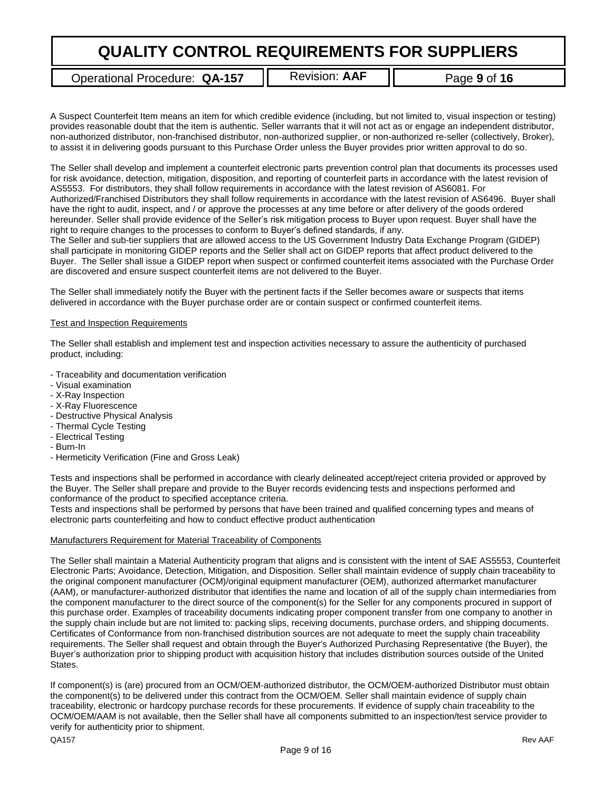Operational Procedure: QA-157 | Revision: AAF | Page 9 of 16

A Suspect Counterfeit Item means an item for which credible evidence (including, but not limited to, visual inspection or testing) provides reasonable doubt that the item is authentic. Seller warrants that it will not act as or engage an independent distributor, non-authorized distributor, non-franchised distributor, non-authorized supplier, or non-authorized re-seller (collectively, Broker), to assist it in delivering goods pursuant to this Purchase Order unless the Buyer provides prior written approval to do so.

The Seller shall develop and implement a counterfeit electronic parts prevention control plan that documents its processes used for risk avoidance, detection, mitigation, disposition, and reporting of counterfeit parts in accordance with the latest revision of AS5553. For distributors, they shall follow requirements in accordance with the latest revision of AS6081. For Authorized/Franchised Distributors they shall follow requirements in accordance with the latest revision of AS6496. Buyer shall have the right to audit, inspect, and / or approve the processes at any time before or after delivery of the goods ordered hereunder. Seller shall provide evidence of the Seller's risk mitigation process to Buyer upon request. Buyer shall have the right to require changes to the processes to conform to Buyer's defined standards, if any.

The Seller and sub-tier suppliers that are allowed access to the US Government Industry Data Exchange Program (GIDEP) shall participate in monitoring GIDEP reports and the Seller shall act on GIDEP reports that affect product delivered to the Buyer. The Seller shall issue a GIDEP report when suspect or confirmed counterfeit items associated with the Purchase Order are discovered and ensure suspect counterfeit items are not delivered to the Buyer.

The Seller shall immediately notify the Buyer with the pertinent facts if the Seller becomes aware or suspects that items delivered in accordance with the Buyer purchase order are or contain suspect or confirmed counterfeit items.

#### Test and Inspection Requirements

The Seller shall establish and implement test and inspection activities necessary to assure the authenticity of purchased product, including:

- Traceability and documentation verification
- Visual examination
- X-Ray Inspection
- X-Ray Fluorescence
- Destructive Physical Analysis
- Thermal Cycle Testing
- Electrical Testing
- Burn-In
- Hermeticity Verification (Fine and Gross Leak)

Tests and inspections shall be performed in accordance with clearly delineated accept/reject criteria provided or approved by the Buyer. The Seller shall prepare and provide to the Buyer records evidencing tests and inspections performed and conformance of the product to specified acceptance criteria.

Tests and inspections shall be performed by persons that have been trained and qualified concerning types and means of electronic parts counterfeiting and how to conduct effective product authentication

#### Manufacturers Requirement for Material Traceability of Components

The Seller shall maintain a Material Authenticity program that aligns and is consistent with the intent of SAE AS5553, Counterfeit Electronic Parts; Avoidance, Detection, Mitigation, and Disposition. Seller shall maintain evidence of supply chain traceability to the original component manufacturer (OCM)/original equipment manufacturer (OEM), authorized aftermarket manufacturer (AAM), or manufacturer‐authorized distributor that identifies the name and location of all of the supply chain intermediaries from the component manufacturer to the direct source of the component(s) for the Seller for any components procured in support of this purchase order. Examples of traceability documents indicating proper component transfer from one company to another in the supply chain include but are not limited to: packing slips, receiving documents, purchase orders, and shipping documents. Certificates of Conformance from non‐franchised distribution sources are not adequate to meet the supply chain traceability requirements. The Seller shall request and obtain through the Buyer's Authorized Purchasing Representative (the Buyer), the Buyer's authorization prior to shipping product with acquisition history that includes distribution sources outside of the United States.

If component(s) is (are) procured from an OCM/OEM‐authorized distributor, the OCM/OEM‐authorized Distributor must obtain the component(s) to be delivered under this contract from the OCM/OEM. Seller shall maintain evidence of supply chain traceability, electronic or hardcopy purchase records for these procurements. If evidence of supply chain traceability to the OCM/OEM/AAM is not available, then the Seller shall have all components submitted to an inspection/test service provider to verify for authenticity prior to shipment.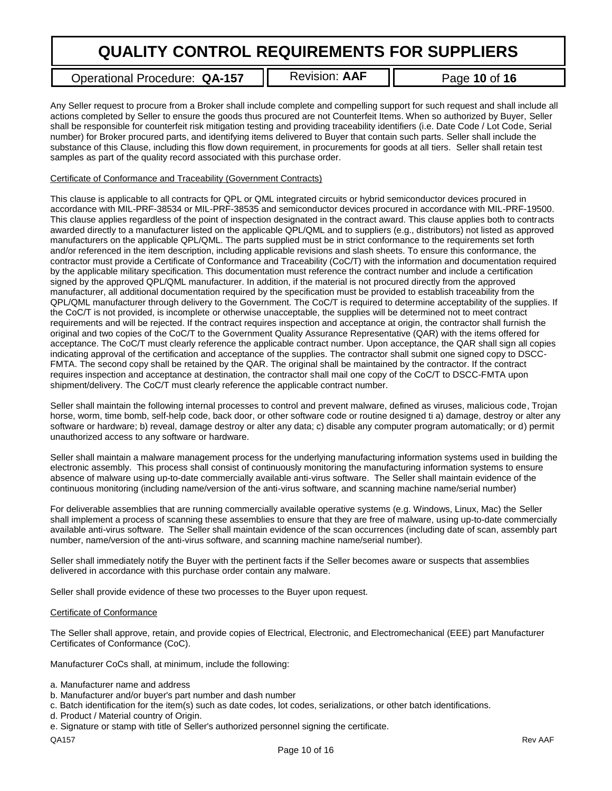Operational Procedure: **QA-157** | Revision: AAF | Page 10 of 16

Any Seller request to procure from a Broker shall include complete and compelling support for such request and shall include all actions completed by Seller to ensure the goods thus procured are not Counterfeit Items. When so authorized by Buyer, Seller shall be responsible for counterfeit risk mitigation testing and providing traceability identifiers (i.e. Date Code / Lot Code, Serial number) for Broker procured parts, and identifying items delivered to Buyer that contain such parts. Seller shall include the substance of this Clause, including this flow down requirement, in procurements for goods at all tiers. Seller shall retain test samples as part of the quality record associated with this purchase order.

#### Certificate of Conformance and Traceability (Government Contracts)

This clause is applicable to all contracts for QPL or QML integrated circuits or hybrid semiconductor devices procured in accordance with MIL-PRF-38534 or MIL-PRF-38535 and semiconductor devices procured in accordance with MIL-PRF-19500. This clause applies regardless of the point of inspection designated in the contract award. This clause applies both to contracts awarded directly to a manufacturer listed on the applicable QPL/QML and to suppliers (e.g., distributors) not listed as approved manufacturers on the applicable QPL/QML. The parts supplied must be in strict conformance to the requirements set forth and/or referenced in the item description, including applicable revisions and slash sheets. To ensure this conformance, the contractor must provide a Certificate of Conformance and Traceability (CoC/T) with the information and documentation required by the applicable military specification. This documentation must reference the contract number and include a certification signed by the approved QPL/QML manufacturer. In addition, if the material is not procured directly from the approved manufacturer, all additional documentation required by the specification must be provided to establish traceability from the QPL/QML manufacturer through delivery to the Government. The CoC/T is required to determine acceptability of the supplies. If the CoC/T is not provided, is incomplete or otherwise unacceptable, the supplies will be determined not to meet contract requirements and will be rejected. If the contract requires inspection and acceptance at origin, the contractor shall furnish the original and two copies of the CoC/T to the Government Quality Assurance Representative (QAR) with the items offered for acceptance. The CoC/T must clearly reference the applicable contract number. Upon acceptance, the QAR shall sign all copies indicating approval of the certification and acceptance of the supplies. The contractor shall submit one signed copy to DSCC-FMTA. The second copy shall be retained by the QAR. The original shall be maintained by the contractor. If the contract requires inspection and acceptance at destination, the contractor shall mail one copy of the CoC/T to DSCC-FMTA upon shipment/delivery. The CoC/T must clearly reference the applicable contract number.

Seller shall maintain the following internal processes to control and prevent malware, defined as viruses, malicious code, Trojan horse, worm, time bomb, self-help code, back door, or other software code or routine designed ti a) damage, destroy or alter any software or hardware; b) reveal, damage destroy or alter any data; c) disable any computer program automatically; or d) permit unauthorized access to any software or hardware.

Seller shall maintain a malware management process for the underlying manufacturing information systems used in building the electronic assembly. This process shall consist of continuously monitoring the manufacturing information systems to ensure absence of malware using up-to-date commercially available anti-virus software. The Seller shall maintain evidence of the continuous monitoring (including name/version of the anti-virus software, and scanning machine name/serial number)

For deliverable assemblies that are running commercially available operative systems (e.g. Windows, Linux, Mac) the Seller shall implement a process of scanning these assemblies to ensure that they are free of malware, using up-to-date commercially available anti-virus software. The Seller shall maintain evidence of the scan occurrences (including date of scan, assembly part number, name/version of the anti-virus software, and scanning machine name/serial number).

Seller shall immediately notify the Buyer with the pertinent facts if the Seller becomes aware or suspects that assemblies delivered in accordance with this purchase order contain any malware.

Seller shall provide evidence of these two processes to the Buyer upon request.

### Certificate of Conformance

The Seller shall approve, retain, and provide copies of Electrical, Electronic, and Electromechanical (EEE) part Manufacturer Certificates of Conformance (CoC).

Manufacturer CoCs shall, at minimum, include the following:

- a. Manufacturer name and address
- b. Manufacturer and/or buyer's part number and dash number
- c. Batch identification for the item(s) such as date codes, lot codes, serializations, or other batch identifications.
- d. Product / Material country of Origin.
- e. Signature or stamp with title of Seller's authorized personnel signing the certificate.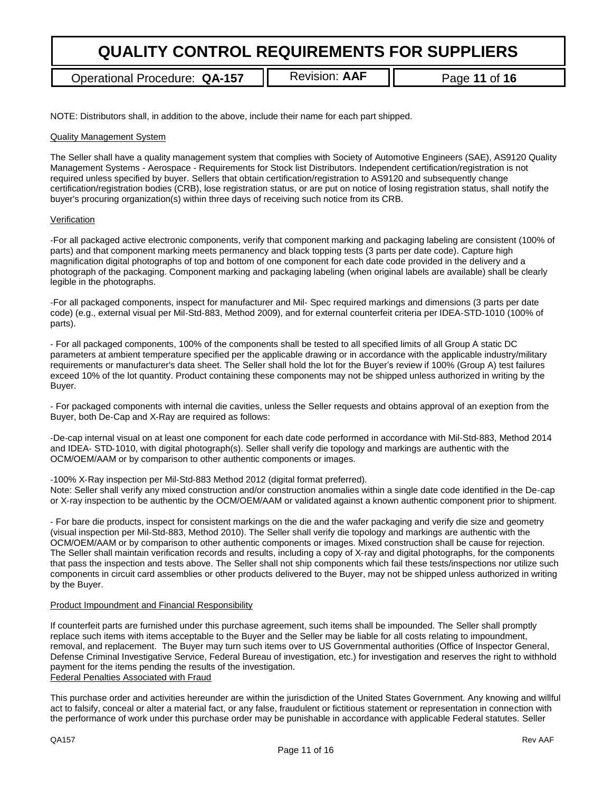Operational Procedure: QA-157 | Revision: AAF | Page 11 of 16

NOTE: Distributors shall, in addition to the above, include their name for each part shipped.

#### Quality Management System

The Seller shall have a quality management system that complies with Society of Automotive Engineers (SAE), AS9120 Quality Management Systems - Aerospace - Requirements for Stock list Distributors. Independent certification/registration is not required unless specified by buyer. Sellers that obtain certification/registration to AS9120 and subsequently change certification/registration bodies (CRB), lose registration status, or are put on notice of losing registration status, shall notify the buyer's procuring organization(s) within three days of receiving such notice from its CRB.

#### Verification

‐For all packaged active electronic components, verify that component marking and packaging labeling are consistent (100% of parts) and that component marking meets permanency and black topping tests (3 parts per date code). Capture high magnification digital photographs of top and bottom of one component for each date code provided in the delivery and a photograph of the packaging. Component marking and packaging labeling (when original labels are available) shall be clearly legible in the photographs.

‐For all packaged components, inspect for manufacturer and Mil‐ Spec required markings and dimensions (3 parts per date code) (e.g., external visual per Mil‐Std‐883, Method 2009), and for external counterfeit criteria per IDEA‐STD‐1010 (100% of parts).

‐ For all packaged components, 100% of the components shall be tested to all specified limits of all Group A static DC parameters at ambient temperature specified per the applicable drawing or in accordance with the applicable industry/military requirements or manufacturer's data sheet. The Seller shall hold the lot for the Buyer's review if 100% (Group A) test failures exceed 10% of the lot quantity. Product containing these components may not be shipped unless authorized in writing by the Buyer.

‐ For packaged components with internal die cavities, unless the Seller requests and obtains approval of an exeption from the Buyer, both De‐Cap and X‐Ray are required as follows:

‐De‐cap internal visual on at least one component for each date code performed in accordance with Mil‐Std‐883, Method 2014 and IDEA- STD-1010, with digital photograph(s). Seller shall verify die topology and markings are authentic with the OCM/OEM/AAM or by comparison to other authentic components or images.

‐100% X‐Ray inspection per Mil‐Std‐883 Method 2012 (digital format preferred).

Note: Seller shall verify any mixed construction and/or construction anomalies within a single date code identified in the De‐cap or X‐ray inspection to be authentic by the OCM/OEM/AAM or validated against a known authentic component prior to shipment.

‐ For bare die products, inspect for consistent markings on the die and the wafer packaging and verify die size and geometry (visual inspection per Mil‐Std‐883, Method 2010). The Seller shall verify die topology and markings are authentic with the OCM/OEM/AAM or by comparison to other authentic components or images. Mixed construction shall be cause for rejection. The Seller shall maintain verification records and results, including a copy of X-ray and digital photographs, for the components that pass the inspection and tests above. The Seller shall not ship components which fail these tests/inspections nor utilize such components in circuit card assemblies or other products delivered to the Buyer, may not be shipped unless authorized in writing by the Buyer.

#### Product Impoundment and Financial Responsibility

If counterfeit parts are furnished under this purchase agreement, such items shall be impounded. The Seller shall promptly replace such items with items acceptable to the Buyer and the Seller may be liable for all costs relating to impoundment, removal, and replacement. The Buyer may turn such items over to US Governmental authorities (Office of Inspector General, Defense Criminal Investigative Service, Federal Bureau of investigation, etc.) for investigation and reserves the right to withhold payment for the items pending the results of the investigation. Federal Penalties Associated with Fraud

This purchase order and activities hereunder are within the jurisdiction of the United States Government. Any knowing and willful act to falsify, conceal or alter a material fact, or any false, fraudulent or fictitious statement or representation in connection with the performance of work under this purchase order may be punishable in accordance with applicable Federal statutes. Seller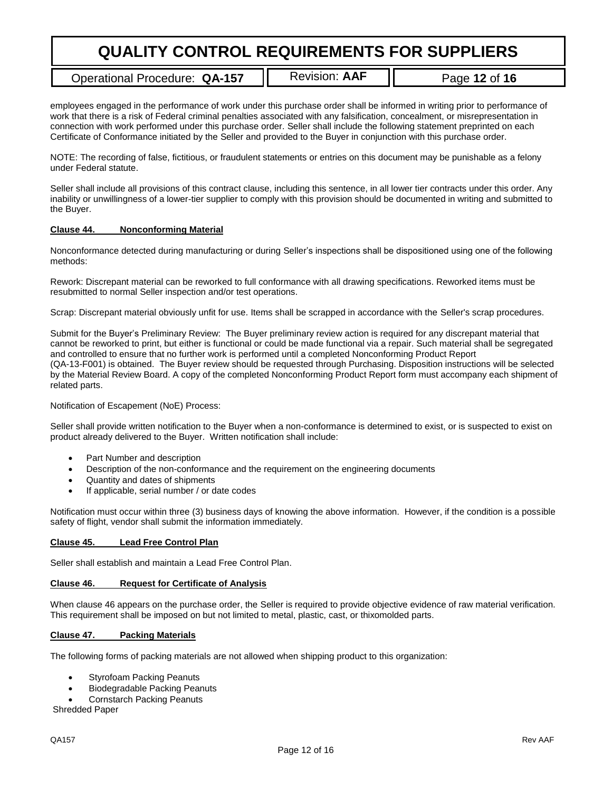Operational Procedure: **QA-157 II** Revision: **AAF II** Page 12 of 16

employees engaged in the performance of work under this purchase order shall be informed in writing prior to performance of work that there is a risk of Federal criminal penalties associated with any falsification, concealment, or misrepresentation in connection with work performed under this purchase order. Seller shall include the following statement preprinted on each Certificate of Conformance initiated by the Seller and provided to the Buyer in conjunction with this purchase order.

NOTE: The recording of false, fictitious, or fraudulent statements or entries on this document may be punishable as a felony under Federal statute.

Seller shall include all provisions of this contract clause, including this sentence, in all lower tier contracts under this order. Any inability or unwillingness of a lower-tier supplier to comply with this provision should be documented in writing and submitted to the Buyer.

#### **Clause 44. Nonconforming Material**

Nonconformance detected during manufacturing or during Seller's inspections shall be dispositioned using one of the following methods:

Rework: Discrepant material can be reworked to full conformance with all drawing specifications. Reworked items must be resubmitted to normal Seller inspection and/or test operations.

Scrap: Discrepant material obviously unfit for use. Items shall be scrapped in accordance with the Seller's scrap procedures.

Submit for the Buyer's Preliminary Review: The Buyer preliminary review action is required for any discrepant material that cannot be reworked to print, but either is functional or could be made functional via a repair. Such material shall be segregated and controlled to ensure that no further work is performed until a completed Nonconforming Product Report (QA-13-F001) is obtained. The Buyer review should be requested through Purchasing. Disposition instructions will be selected by the Material Review Board. A copy of the completed Nonconforming Product Report form must accompany each shipment of related parts.

Notification of Escapement (NoE) Process:

Seller shall provide written notification to the Buyer when a non-conformance is determined to exist, or is suspected to exist on product already delivered to the Buyer. Written notification shall include:

- Part Number and description
- Description of the non-conformance and the requirement on the engineering documents
- Quantity and dates of shipments
- If applicable, serial number / or date codes

Notification must occur within three (3) business days of knowing the above information. However, if the condition is a possible safety of flight, vendor shall submit the information immediately.

#### **Clause 45. Lead Free Control Plan**

Seller shall establish and maintain a Lead Free Control Plan.

#### **Clause 46. Request for Certificate of Analysis**

When clause 46 appears on the purchase order, the Seller is required to provide objective evidence of raw material verification. This requirement shall be imposed on but not limited to metal, plastic, cast, or thixomolded parts.

#### **Clause 47. Packing Materials**

The following forms of packing materials are not allowed when shipping product to this organization:

- Styrofoam Packing Peanuts
- Biodegradable Packing Peanuts
- Cornstarch Packing Peanuts

Shredded Paper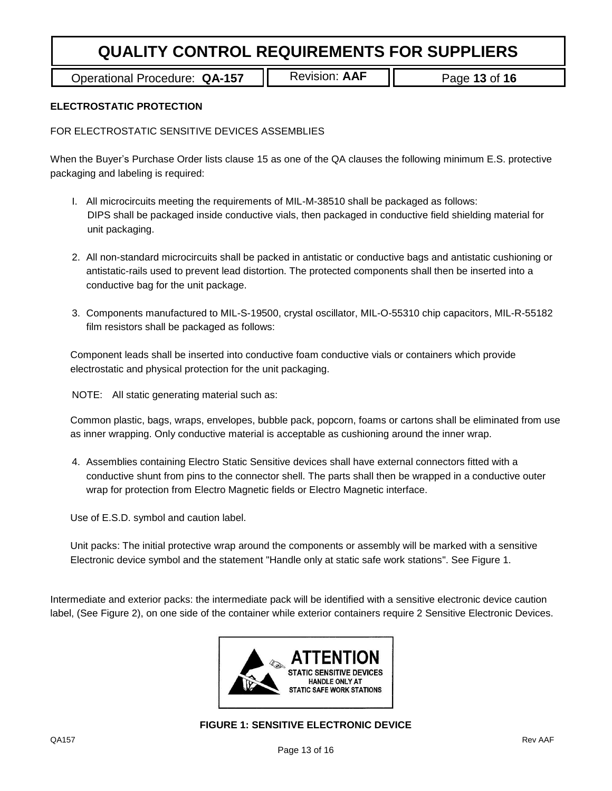Operational Procedure: QA-157 | Revision: AAF | Page 13 of 16

## **ELECTROSTATIC PROTECTION**

FOR ELECTROSTATIC SENSITIVE DEVICES ASSEMBLIES

When the Buyer's Purchase Order lists clause 15 as one of the QA clauses the following minimum E.S. protective packaging and labeling is required:

- I. All microcircuits meeting the requirements of MIL-M-38510 shall be packaged as follows: DIPS shall be packaged inside conductive vials, then packaged in conductive field shielding material for unit packaging.
- 2. All non-standard microcircuits shall be packed in antistatic or conductive bags and antistatic cushioning or antistatic-rails used to prevent lead distortion. The protected components shall then be inserted into a conductive bag for the unit package.
- 3. Components manufactured to MIL-S-19500, crystal oscillator, MIL-O-55310 chip capacitors, MIL-R-55182 film resistors shall be packaged as follows:

Component leads shall be inserted into conductive foam conductive vials or containers which provide electrostatic and physical protection for the unit packaging.

NOTE: All static generating material such as:

Common plastic, bags, wraps, envelopes, bubble pack, popcorn, foams or cartons shall be eliminated from use as inner wrapping. Only conductive material is acceptable as cushioning around the inner wrap.

4. Assemblies containing Electro Static Sensitive devices shall have external connectors fitted with a conductive shunt from pins to the connector shell. The parts shall then be wrapped in a conductive outer wrap for protection from Electro Magnetic fields or Electro Magnetic interface.

Use of E.S.D. symbol and caution label.

Unit packs: The initial protective wrap around the components or assembly will be marked with a sensitive Electronic device symbol and the statement "Handle only at static safe work stations". See Figure 1.

Intermediate and exterior packs: the intermediate pack will be identified with a sensitive electronic device caution label, (See Figure 2), on one side of the container while exterior containers require 2 Sensitive Electronic Devices.



# **FIGURE 1: SENSITIVE ELECTRONIC DEVICE**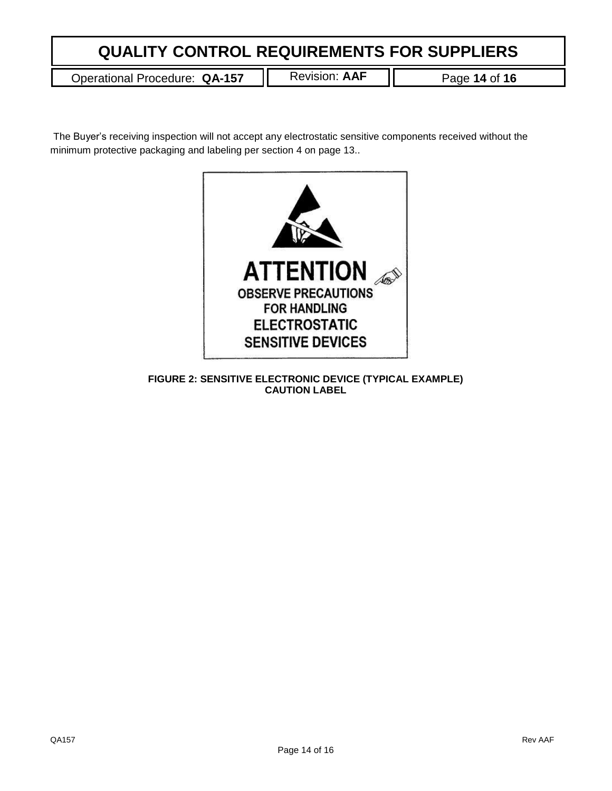Operational Procedure: QA-157 | Revision: AAF | Page 14 of 16

The Buyer's receiving inspection will not accept any electrostatic sensitive components received without the minimum protective packaging and labeling per section 4 on page 13..



**FIGURE 2: SENSITIVE ELECTRONIC DEVICE (TYPICAL EXAMPLE) CAUTION LABEL**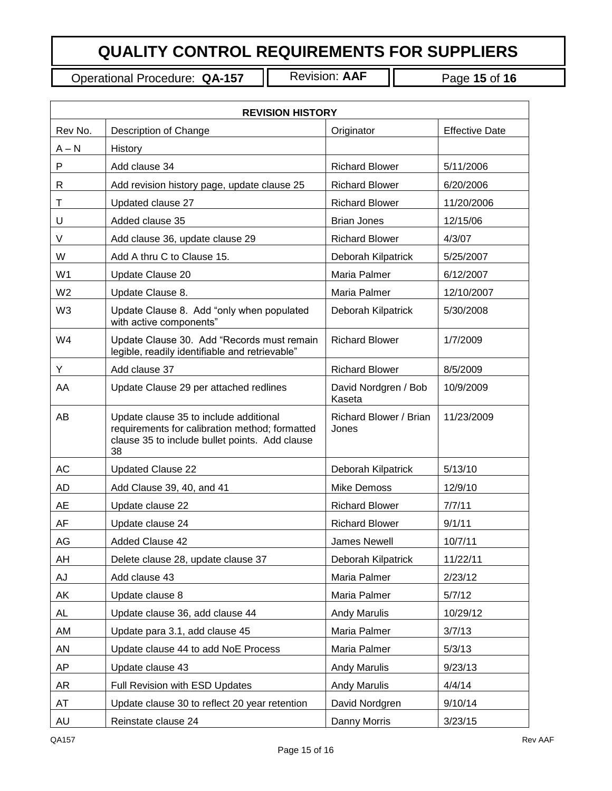Operational Procedure: **QA-157** Revision: **AAF** Page **15** of **16**

 $\overline{\mathbf{I}}$ 

| <b>REVISION HISTORY</b> |                                                                                                                                                  |                                 |                       |  |  |
|-------------------------|--------------------------------------------------------------------------------------------------------------------------------------------------|---------------------------------|-----------------------|--|--|
| Rev No.                 | Description of Change                                                                                                                            | Originator                      | <b>Effective Date</b> |  |  |
| $A - N$                 | History                                                                                                                                          |                                 |                       |  |  |
| P                       | Add clause 34                                                                                                                                    | <b>Richard Blower</b>           | 5/11/2006             |  |  |
| R                       | Add revision history page, update clause 25                                                                                                      | <b>Richard Blower</b>           | 6/20/2006             |  |  |
| Τ                       | Updated clause 27                                                                                                                                | <b>Richard Blower</b>           | 11/20/2006            |  |  |
| U                       | Added clause 35                                                                                                                                  | <b>Brian Jones</b>              | 12/15/06              |  |  |
| V                       | Add clause 36, update clause 29                                                                                                                  | <b>Richard Blower</b>           | 4/3/07                |  |  |
| W                       | Add A thru C to Clause 15.                                                                                                                       | Deborah Kilpatrick              | 5/25/2007             |  |  |
| W <sub>1</sub>          | Update Clause 20                                                                                                                                 | Maria Palmer                    | 6/12/2007             |  |  |
| W <sub>2</sub>          | Update Clause 8.                                                                                                                                 | Maria Palmer                    | 12/10/2007            |  |  |
| W <sub>3</sub>          | Update Clause 8. Add "only when populated<br>with active components"                                                                             | Deborah Kilpatrick              | 5/30/2008             |  |  |
| W4                      | Update Clause 30. Add "Records must remain<br>legible, readily identifiable and retrievable"                                                     | <b>Richard Blower</b>           | 1/7/2009              |  |  |
| Y                       | Add clause 37                                                                                                                                    | <b>Richard Blower</b>           | 8/5/2009              |  |  |
| AA                      | Update Clause 29 per attached redlines                                                                                                           | David Nordgren / Bob<br>Kaseta  | 10/9/2009             |  |  |
| AB                      | Update clause 35 to include additional<br>requirements for calibration method; formatted<br>clause 35 to include bullet points. Add clause<br>38 | Richard Blower / Brian<br>Jones | 11/23/2009            |  |  |
| AC                      | <b>Updated Clause 22</b>                                                                                                                         | Deborah Kilpatrick              | 5/13/10               |  |  |
| AD                      | Add Clause 39, 40, and 41                                                                                                                        | <b>Mike Demoss</b>              | 12/9/10               |  |  |
| AE                      | Update clause 22                                                                                                                                 | <b>Richard Blower</b>           | 7/7/11                |  |  |
| AF                      | Update clause 24                                                                                                                                 | <b>Richard Blower</b>           | 9/1/11                |  |  |
| AG                      | <b>Added Clause 42</b>                                                                                                                           | <b>James Newell</b>             | 10/7/11               |  |  |
| AH                      | Delete clause 28, update clause 37                                                                                                               | Deborah Kilpatrick              | 11/22/11              |  |  |
| AJ                      | Add clause 43                                                                                                                                    | Maria Palmer                    | 2/23/12               |  |  |
| AK                      | Update clause 8                                                                                                                                  | Maria Palmer                    | 5/7/12                |  |  |
| AL                      | Update clause 36, add clause 44                                                                                                                  | <b>Andy Marulis</b>             | 10/29/12              |  |  |
| AM                      | Update para 3.1, add clause 45                                                                                                                   | Maria Palmer                    | 3/7/13                |  |  |
| AN                      | Update clause 44 to add NoE Process                                                                                                              | Maria Palmer                    | 5/3/13                |  |  |
| AP                      | Update clause 43                                                                                                                                 | <b>Andy Marulis</b>             | 9/23/13               |  |  |
| AR                      | Full Revision with ESD Updates                                                                                                                   | <b>Andy Marulis</b>             | 4/4/14                |  |  |
| AT                      | Update clause 30 to reflect 20 year retention                                                                                                    | David Nordgren                  | 9/10/14               |  |  |
| AU                      | Reinstate clause 24                                                                                                                              | Danny Morris                    | 3/23/15               |  |  |